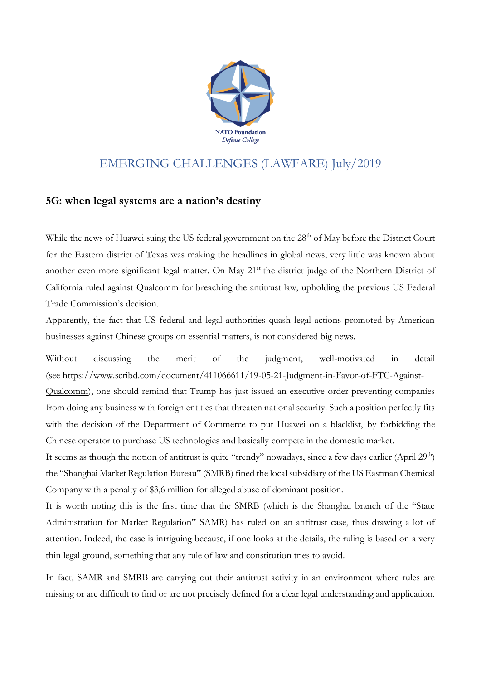

## EMERGING CHALLENGES (LAWFARE) July/2019

## **5G: when legal systems are a nation's destiny**

While the news of Huawei suing the US federal government on the 28<sup>th</sup> of May before the District Court for the Eastern district of Texas was making the headlines in global news, very little was known about another even more significant legal matter. On May 21<sup>st</sup> the district judge of the Northern District of California ruled against Qualcomm for breaching the antitrust law, upholding the previous US Federal Trade Commission's decision.

Apparently, the fact that US federal and legal authorities quash legal actions promoted by American businesses against Chinese groups on essential matters, is not considered big news.

Without discussing the merit of the judgment, well-motivated in detail (see [https://www.scribd.com/document/411066611/19-05-21-Judgment-in-Favor-of-FTC-Against-](https://www.scribd.com/document/411066611/19-05-21-Judgment-in-Favor-of-FTC-Against-Qualcomm)

[Qualcomm\)](https://www.scribd.com/document/411066611/19-05-21-Judgment-in-Favor-of-FTC-Against-Qualcomm), one should remind that Trump has just issued an executive order preventing companies from doing any business with foreign entities that threaten national security. Such a position perfectly fits with the decision of the Department of Commerce to put Huawei on a blacklist, by forbidding the Chinese operator to purchase US technologies and basically compete in the domestic market.

It seems as though the notion of antitrust is quite "trendy" nowadays, since a few days earlier (April 29<sup>th</sup>) the "Shanghai Market Regulation Bureau" (SMRB) fined the local subsidiary of the US Eastman Chemical Company with a penalty of \$3,6 million for alleged abuse of dominant position.

It is worth noting this is the first time that the SMRB (which is the Shanghai branch of the "State Administration for Market Regulation" SAMR) has ruled on an antitrust case, thus drawing a lot of attention. Indeed, the case is intriguing because, if one looks at the details, the ruling is based on a very thin legal ground, something that any rule of law and constitution tries to avoid.

In fact, SAMR and SMRB are carrying out their antitrust activity in an environment where rules are missing or are difficult to find or are not precisely defined for a clear legal understanding and application.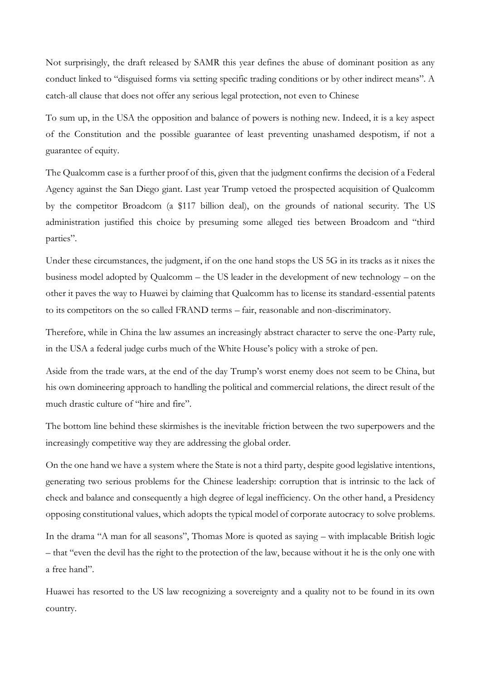Not surprisingly, the draft released by SAMR this year defines the abuse of dominant position as any conduct linked to "disguised forms via setting specific trading conditions or by other indirect means". A catch-all clause that does not offer any serious legal protection, not even to Chinese

To sum up, in the USA the opposition and balance of powers is nothing new. Indeed, it is a key aspect of the Constitution and the possible guarantee of least preventing unashamed despotism, if not a guarantee of equity.

The Qualcomm case is a further proof of this, given that the judgment confirms the decision of a Federal Agency against the San Diego giant. Last year Trump vetoed the prospected acquisition of Qualcomm by the competitor Broadcom (a \$117 billion deal), on the grounds of national security. The US administration justified this choice by presuming some alleged ties between Broadcom and "third parties".

Under these circumstances, the judgment, if on the one hand stops the US 5G in its tracks as it nixes the business model adopted by Qualcomm – the US leader in the development of new technology – on the other it paves the way to Huawei by claiming that Qualcomm has to license its standard-essential patents to its competitors on the so called FRAND terms – fair, reasonable and non-discriminatory.

Therefore, while in China the law assumes an increasingly abstract character to serve the one-Party rule, in the USA a federal judge curbs much of the White House's policy with a stroke of pen.

Aside from the trade wars, at the end of the day Trump's worst enemy does not seem to be China, but his own domineering approach to handling the political and commercial relations, the direct result of the much drastic culture of "hire and fire".

The bottom line behind these skirmishes is the inevitable friction between the two superpowers and the increasingly competitive way they are addressing the global order.

On the one hand we have a system where the State is not a third party, despite good legislative intentions, generating two serious problems for the Chinese leadership: corruption that is intrinsic to the lack of check and balance and consequently a high degree of legal inefficiency. On the other hand, a Presidency opposing constitutional values, which adopts the typical model of corporate autocracy to solve problems.

In the drama "A man for all seasons", Thomas More is quoted as saying – with implacable British logic – that "even the devil has the right to the protection of the law, because without it he is the only one with a free hand".

Huawei has resorted to the US law recognizing a sovereignty and a quality not to be found in its own country.